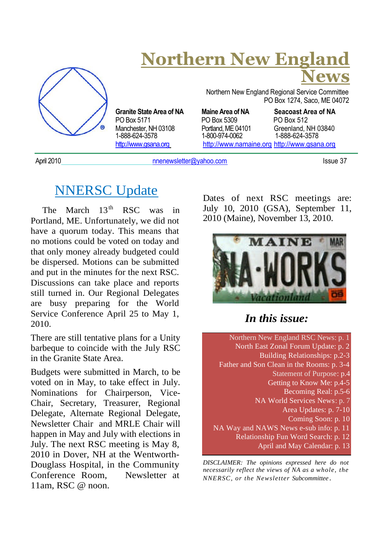

# **Northern New England News**

Northern New England Regional Service Committee PO Box 1274, Saco, ME 04072

PO Box 5171 PO Box 5309 PO Box 512 Manchester, NH 03108 Portland, ME 04101 Greenland, NH 03840<br>1-888-624-3578 1-800-974-0062 1-888-624-3578 http://www.gsana.org http://www.namaine.org http://www.gsana.org

**Granite State Area of NA Maine Area of NA Seacoast Area of NA** 1-888-624-3578 1-800-974-0062 1-888-624-3578

April 2010 **nnenewsletter@yahoo.com** Issue 37

## NNERSC Update

The March  $13^{th}$  RSC was in Portland, ME. Unfortunately, we did not have a quorum today. This means that no motions could be voted on today and that only money already budgeted could be dispersed. Motions can be submitted and put in the minutes for the next RSC. Discussions can take place and reports still turned in. Our Regional Delegates are busy preparing for the World Service Conference April 25 to May 1, 2010.

There are still tentative plans for a Unity barbeque to coincide with the July RSC in the Granite State Area.

Budgets were submitted in March, to be voted on in May, to take effect in July. Nominations for Chairperson, Vice-Chair, Secretary, Treasurer, Regional Delegate, Alternate Regional Delegate, Newsletter Chair and MRLE Chair will happen in May and July with elections in July. The next RSC meeting is May 8, 2010 in Dover, NH at the Wentworth-Douglass Hospital, in the Community Conference Room, Newsletter at 11am, RSC @ noon.

Dates of next RSC meetings are: July 10, 2010 (GSA), September 11, 2010 (Maine), November 13, 2010.



*In this issue:*

Northern New England RSC News: p. 1 North East Zonal Forum Update: p. 2 Building Relationships: p.2-3 Father and Son Clean in the Rooms: p. 3-4 Statement of Purpose: p.4 Getting to Know Me: p.4-5 Becoming Real: p.5-6 NA World Services News: p. 7 Area Updates: p. 7-10 Coming Soon: p. 10 NA Way and NAWS News e-sub info: p. 11 Relationship Fun Word Search: p. 12 April and May Calendar: p. 13

*DISCLAIMER: The opinions expressed here do not necessarily reflect the views of NA as a whole, the NNERSC, or the Newsletter Subcommittee .*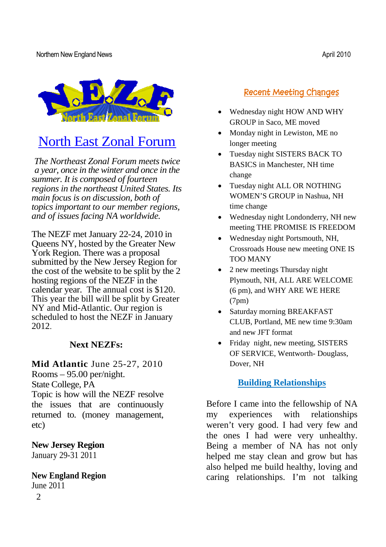

# North East Zonal Forum

*The Northeast Zonal Forum meets twice a year, once in the winter and once in the summer. It is composed of fourteen regions in the northeast United States. Its main focus is on discussion, both of topics important to our member regions, and of issues facing NA worldwide.*

The NEZF met January 22-24, 2010 in Queens NY, hosted by the Greater New York Region. There was a proposal submitted by the New Jersey Region for the cost of the website to be split by the 2 hosting regions of the NEZF in the calendar year. The annual cost is \$120. This year the bill will be split by Greater NY and Mid-Atlantic. Our region is scheduled to host the NEZF in January 2012.

#### **Next NEZFs:**

**Mid Atlantic** June 25-27, 2010 Rooms – 95.00 per/night. State College, PA

Topic is how will the NEZF resolve the issues that are continuously returned to. (money management, etc)

**New Jersey Region** January 29-31 2011

### **New England Region**

2 June 2011

#### **Recent Meeting Changes**

- Wednesday night HOW AND WHY GROUP in Saco, ME moved
- Monday night in Lewiston, ME no longer meeting
- Tuesday night SISTERS BACK TO BASICS in Manchester, NH time change
- Tuesday night ALL OR NOTHING WOMEN'S GROUP in Nashua, NH time change
- Wednesday night Londonderry, NH new meeting THE PROMISE IS FREEDOM
- Wednesday night Portsmouth, NH, Crossroads House new meeting ONE IS TOO MANY
- 2 new meetings Thursday night Plymouth, NH, ALL ARE WELCOME (6 pm), and WHY ARE WE HERE (7pm)
- Saturday morning BREAKFAST CLUB, Portland, ME new time 9:30am and new JFT format
- Friday night, new meeting, SISTERS OF SERVICE, Wentworth- Douglass, Dover, NH

#### **Building Relationships**

Before I came into the fellowship of NA my experiences with relationships weren't very good. I had very few and the ones I had were very unhealthy. Being a member of NA has not only helped me stay clean and grow but has also helped me build healthy, loving and caring relationships. I'm not talking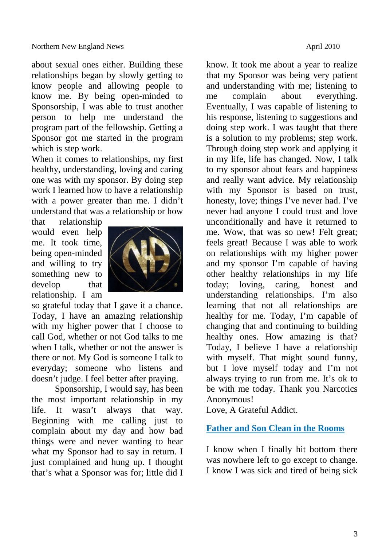about sexual ones either. Building these relationships began by slowly getting to know people and allowing people to know me. By being open-minded to Sponsorship, I was able to trust another person to help me understand the program part of the fellowship. Getting a Sponsor got me started in the program which is step work.

When it comes to relationships, my first healthy, understanding, loving and caring one was with my sponsor. By doing step work I learned how to have a relationship with a power greater than me. I didn't understand that was a relationship or how

that relationship would even help me. It took time, being open-minded and willing to try something new to develop that relationship. I am



so grateful today that I gave it a chance. Today, I have an amazing relationship with my higher power that I choose to call God, whether or not God talks to me when I talk, whether or not the answer is there or not. My God is someone I talk to everyday; someone who listens and doesn't judge. I feel better after praying.

Sponsorship, I would say, has been the most important relationship in my life. It wasn't always that way. Beginning with me calling just to complain about my day and how bad things were and never wanting to hear what my Sponsor had to say in return. I just complained and hung up. I thought that's what a Sponsor was for; little did I know. It took me about a year to realize that my Sponsor was being very patient and understanding with me; listening to me complain about everything. Eventually, I was capable of listening to his response, listening to suggestions and doing step work. I was taught that there is a solution to my problems; step work. Through doing step work and applying it in my life, life has changed. Now, I talk to my sponsor about fears and happiness and really want advice. My relationship with my Sponsor is based on trust, honesty, love; things I've never had. I've never had anyone I could trust and love unconditionally and have it returned to me. Wow, that was so new! Felt great; feels great! Because I was able to work on relationships with my higher power and my sponsor I'm capable of having other healthy relationships in my life today; loving, caring, honest and understanding relationships. I'm also learning that not all relationships are healthy for me. Today, I'm capable of changing that and continuing to building healthy ones. How amazing is that? Today, I believe I have a relationship with myself. That might sound funny, but I love myself today and I'm not always trying to run from me. It's ok to be with me today. Thank you Narcotics Anonymous!

Love, A Grateful Addict.

#### **Father and Son Clean in the Rooms**

I know when I finally hit bottom there was nowhere left to go except to change. I know I was sick and tired of being sick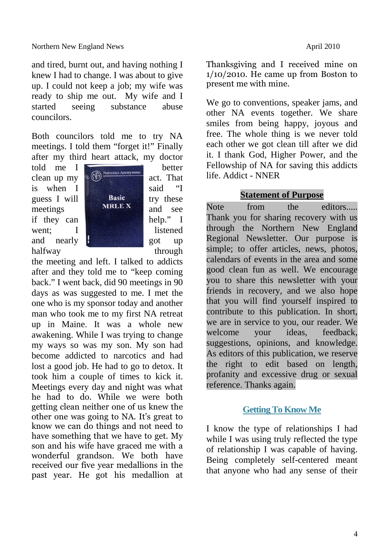and tired, burnt out, and having nothing I knew I had to change. I was about to give up. I could not keep a job; my wife was ready to ship me out. My wife and I started seeing substance abuse councilors.

Both councilors told me to try NA meetings. I told them "forget it!" Finally after my third heart attack, my doctor

halfway through



the meeting and left. I talked to addicts after and they told me to "keep coming back." I went back, did 90 meetings in 90 days as was suggested to me. I met the one who is my sponsor today and another man who took me to my first NA retreat up in Maine. It was a whole new awakening. While I was trying to change my ways so was my son. My son had become addicted to narcotics and had lost a good job. He had to go to detox. It took him a couple of times to kick it. Meetings every day and night was what he had to do. While we were both getting clean neither one of us knew the other one was going to NA. It's great to know we can do things and not need to have something that we have to get. My son and his wife have graced me with a wonderful grandson. We both have received our five year medallions in the past year. He got his medallion at Thanksgiving and I received mine on 1/10/2010. He came up from Boston to present me with mine.

We go to conventions, speaker jams, and other NA events together. We share smiles from being happy, joyous and free. The whole thing is we never told each other we got clean till after we did it. I thank God, Higher Power, and the Fellowship of NA for saving this addicts life. Addict - NNER

#### **Statement of Purpose**

Note from the editors..... Thank you for sharing recovery with us through the Northern New England Regional Newsletter. Our purpose is simple; to offer articles, news, photos, calendars of events in the area and some good clean fun as well. We encourage you to share this newsletter with your friends in recovery, and we also hope that you will find yourself inspired to contribute to this publication. In short, we are in service to you, our reader. We welcome your ideas, feedback, suggestions, opinions, and knowledge. As editors of this publication, we reserve the right to edit based on length, profanity and excessive drug or sexual reference. Thanks again.

#### **Getting To Know Me**

I know the type of relationships I had while I was using truly reflected the type of relationship I was capable of having. Being completely self-centered meant that anyone who had any sense of their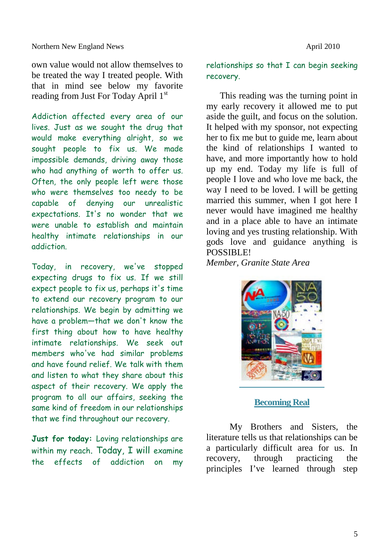own value would not allow themselves to be treated the way I treated people. With that in mind see below my favorite reading from Just For Today April 1<sup>st</sup>

Addiction affected every area of our lives. Just as we sought the drug that would make everything alright, so we sought people to fix us. We made impossible demands, driving away those who had anything of worth to offer us. Often, the only people left were those who were themselves too needy to be capable of denying our unrealistic expectations. It's no wonder that we were unable to establish and maintain healthy intimate relationships in our addiction.

Today, in recovery, we've stopped expecting drugs to fix us. If we still expect people to fix us, perhaps it's time to extend our recovery program to our relationships. We begin by admitting we have a problem—that we don't know the first thing about how to have healthy intimate relationships. We seek out members who've had similar problems and have found relief. We talk with them and listen to what they share about this aspect of their recovery. We apply the program to all our affairs, seeking the same kind of freedom in our relationships that we find throughout our recovery.

**Just for today:** Loving relationships are within my reach. Today, I will examine the effects of addiction on my

#### relationships so that I can begin seeking recovery.

This reading was the turning point in my early recovery it allowed me to put aside the guilt, and focus on the solution. It helped with my sponsor, not expecting her to fix me but to guide me, learn about the kind of relationships I wanted to have, and more importantly how to hold up my end. Today my life is full of people I love and who love me back, the way I need to be loved. I will be getting married this summer, when I got here I never would have imagined me healthy and in a place able to have an intimate loving and yes trusting relationship. With gods love and guidance anything is POSSIBLE!

*Member, Granite State Area*



#### **Becoming Real**

My Brothers and Sisters, the literature tells us that relationships can be a particularly difficult area for us. In recovery, through practicing the principles I've learned through step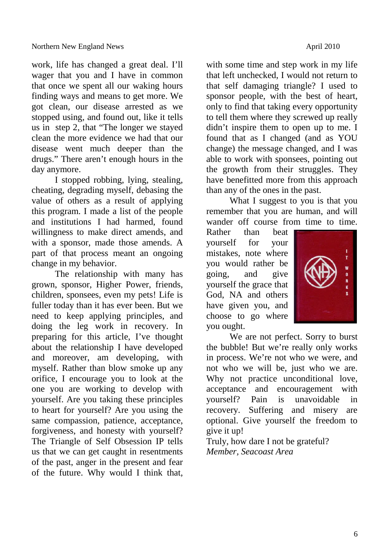work, life has changed a great deal. I'll wager that you and I have in common that once we spent all our waking hours finding ways and means to get more. We got clean, our disease arrested as we stopped using, and found out, like it tells us in step 2, that "The longer we stayed clean the more evidence we had that our disease went much deeper than the drugs." There aren't enough hours in the day anymore.

I stopped robbing, lying, stealing, cheating, degrading myself, debasing the value of others as a result of applying this program. I made a list of the people and institutions I had harmed, found willingness to make direct amends, and with a sponsor, made those amends. A part of that process meant an ongoing change in my behavior.

The relationship with many has grown, sponsor, Higher Power, friends, children, sponsees, even my pets! Life is fuller today than it has ever been. But we need to keep applying principles, and doing the leg work in recovery. In preparing for this article, I've thought about the relationship I have developed and moreover, am developing, with myself. Rather than blow smoke up any orifice, I encourage you to look at the one you are working to develop with yourself. Are you taking these principles to heart for yourself? Are you using the same compassion, patience, acceptance, forgiveness, and honesty with yourself? The Triangle of Self Obsession IP tells us that we can get caught in resentments of the past, anger in the present and fear of the future. Why would I think that, with some time and step work in my life that left unchecked, I would not return to that self damaging triangle? I used to sponsor people, with the best of heart, only to find that taking every opportunity to tell them where they screwed up really didn't inspire them to open up to me. I found that as I changed (and as YOU change) the message changed, and I was able to work with sponsees, pointing out the growth from their struggles. They have benefitted more from this approach than any of the ones in the past.

What I suggest to you is that you remember that you are human, and will wander off course from time to time.

Rather than beat yourself for your mistakes, note where you would rather be going, and give yourself the grace that God, NA and others have given you, and choose to go where you ought.



We are not perfect. Sorry to burst the bubble! But we're really only works in process. We're not who we were, and not who we will be, just who we are. Why not practice unconditional love, acceptance and encouragement with yourself? Pain is unavoidable in recovery. Suffering and misery are optional. Give yourself the freedom to give it up!

Truly, how dare I not be grateful? *Member, Seacoast Area*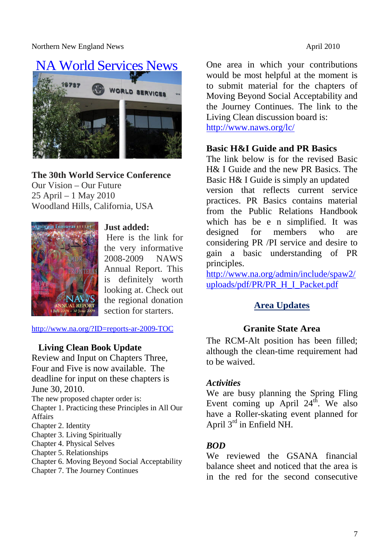Northern New England News **April 2010** 



**The 30th World Service Conference** Our Vision – Our Future 25 April – 1 May 2010 Woodland Hills, California, USA



#### **Just added:**

Here is the link for the very informative 2008-2009 NAWS Annual Report. This is definitely worth looking at. Check out the regional donation section for starters.

http://www.na.org/?ID=reports-ar-2009-TOC

#### **Living Clean Book Update**

Review and Input on Chapters Three, Four and Five is now available. The deadline for input on these chapters is June 30, 2010.

The new proposed chapter order is:

Chapter 1. Practicing these Principles in All Our Affairs

- Chapter 2. Identity
- Chapter 3. Living Spiritually
- Chapter 4. Physical Selves
- Chapter 5. Relationships
- Chapter 6. Moving Beyond Social Acceptability
- Chapter 7. The Journey Continues

One area in which your contributions would be most helpful at the moment is to submit material for the chapters of Moving Beyond Social Acceptability and the Journey Continues. The link to the Living Clean discussion board is: http://www.naws.org/lc/

#### **Basic H&I Guide and PR Basics**

The link below is for the revised Basic H& I Guide and the new PR Basics. The Basic H& I Guide is simply an updated version that reflects current service practices. PR Basics contains material from the Public Relations Handbook which has be e n simplified. It was designed for members who are considering PR /PI service and desire to gain a basic understanding of PR principles.

http://www.na.org/admin/include/spaw2/ uploads/pdf/PR/PR\_H\_I\_Packet.pdf

#### **Area Updates**

#### **Granite State Area**

The RCM-Alt position has been filled; although the clean-time requirement had to be waived.

#### *Activities*

We are busy planning the Spring Fling Event coming up April  $24<sup>th</sup>$ . We also have a Roller-skating event planned for April 3rd in Enfield NH.

#### *BOD*

We reviewed the GSANA financial balance sheet and noticed that the area is in the red for the second consecutive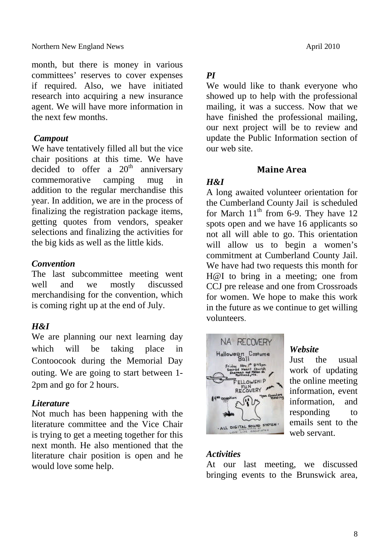month, but there is money in various committees' reserves to cover expenses if required. Also, we have initiated research into acquiring a new insurance agent. We will have more information in the next few months.

#### *Campout*

We have tentatively filled all but the vice chair positions at this time. We have decided to offer a  $20<sup>th</sup>$  anniversary commemorative camping mug in addition to the regular merchandise this year. In addition, we are in the process of finalizing the registration package items, getting quotes from vendors, speaker selections and finalizing the activities for the big kids as well as the little kids.

#### *Convention*

The last subcommittee meeting went well and we mostly discussed merchandising for the convention, which is coming right up at the end of July.

#### *H&I*

We are planning our next learning day which will be taking place in Contoocook during the Memorial Day outing. We are going to start between 1- 2pm and go for 2 hours.

#### *Literature*

Not much has been happening with the literature committee and the Vice Chair is trying to get a meeting together for this next month. He also mentioned that the literature chair position is open and he would love some help.

#### *PI*

We would like to thank everyone who showed up to help with the professional mailing, it was a success. Now that we have finished the professional mailing, our next project will be to review and update the Public Information section of our web site.

#### **Maine Area**

#### *H&I*

A long awaited volunteer orientation for the Cumberland County Jail is scheduled for March  $11<sup>th</sup>$  from 6-9. They have 12 spots open and we have 16 applicants so not all will able to go. This orientation will allow us to begin a women's commitment at Cumberland County Jail. We have had two requests this month for H@I to bring in a meeting; one from CCJ pre release and one from Crossroads for women. We hope to make this work in the future as we continue to get willing volunteers.



#### *Website*

Just the usual work of updating the online meeting information, event information, and responding to emails sent to the web servant.

#### *Activities*

At our last meeting, we discussed bringing events to the Brunswick area,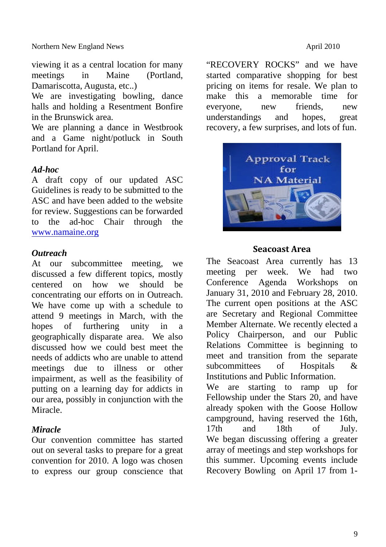viewing it as a central location for many meetings in Maine (Portland, Damariscotta, Augusta, etc..)

We are investigating bowling, dance halls and holding a Resentment Bonfire in the Brunswick area.

We are planning a dance in Westbrook and a Game night/potluck in South Portland for April.

#### *Ad-hoc*

A draft copy of our updated ASC Guidelines is ready to be submitted to the ASC and have been added to the website for review. Suggestions can be forwarded to the ad-hoc Chair through the www.namaine.org

#### *Outreach*

At our subcommittee meeting, we discussed a few different topics, mostly centered on how we should be concentrating our efforts on in Outreach. We have come up with a schedule to attend 9 meetings in March, with the hopes of furthering unity in a geographically disparate area. We also discussed how we could best meet the needs of addicts who are unable to attend meetings due to illness or other impairment, as well as the feasibility of putting on a learning day for addicts in our area, possibly in conjunction with the Miracle.

#### *Miracle*

Our convention committee has started out on several tasks to prepare for a great convention for 2010. A logo was chosen to express our group conscience that "RECOVERY ROCKS" and we have started comparative shopping for best pricing on items for resale. We plan to make this a memorable time for everyone, new friends, new understandings and hopes, great recovery, a few surprises, and lots of fun.



#### **Seacoast Area**

The Seacoast Area currently has 13 meeting per week. We had two Conference Agenda Workshops on January 31, 2010 and February 28, 2010. The current open positions at the ASC are Secretary and Regional Committee Member Alternate. We recently elected a Policy Chairperson, and our Public Relations Committee is beginning to meet and transition from the separate subcommittees of Hospitals & Institutions and Public Information.

We are starting to ramp up for Fellowship under the Stars 20, and have already spoken with the Goose Hollow campground, having reserved the 16th, 17th and 18th of July. We began discussing offering a greater array of meetings and step workshops for this summer. Upcoming events include Recovery Bowling on April 17 from 1-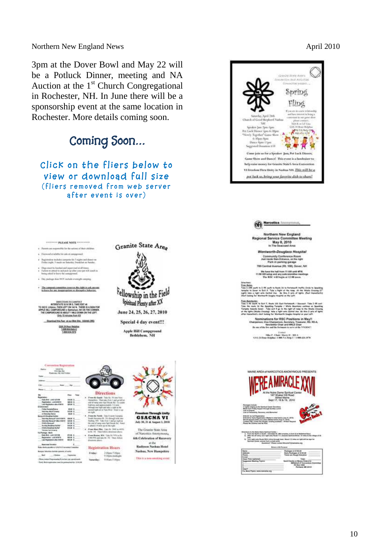Spring Fling

Northern New England News **April 2010** 

3pm at the Dover Bowl and May 22 will be a Potluck Dinner, meeting and NA Auction at the  $1<sup>st</sup>$  Church Congregational in Rochester, NH. In June there will be a sponsorship event at the same location in Rochester. More details coming soon.

| Click on the fliers below to<br>help raise money for Granite State's Area Convention<br>VI Freedom Thru Unity in Nashua NH. This will be a<br>view or download full size<br>pot luck so, bring your favorite dish to share!<br>(fliers removed from web server<br>after event is over)<br><b>Harcotics</b> homem<br>Northern New England<br>Regional Service Committee Meeting<br>May 8, 2010<br>TOTTOTTO PLEASE NOTE ***********<br>Granite State Area<br>In The Seaboard Area<br>Parent are repossible for the actions of their stations.<br>Wentworth-Douglass Hospital<br>Financed available for sele at comparent<br>Community Conference Room<br>Just back Main Entrance, on the right<br>Registrative stability comprise for 7 stights and domes on<br>Park in parking garage<br>Fridai Joyke, Francis on futures; Involved on Nunday.<br>785 Central Avenue (Rt. 108), Dover, NH<br>Degreemed by brasingl and supervisual at all knows<br>If allows no setured to seat pick up ident your part will involve to<br>the have the half from 11 AM until MFM.<br>loong asked to know the compground<br>11:50 AM setup and any solicizmentles meeti<br>The RSC will begin at 12:00 poor.<br>The inclusi Axe NHC suitab crunight coupling.<br>Original<br>From Maine<br>The integrate committee insurers the right to sell percent<br>Take 2-295 aucht in 2-95 aucht in Baute 24 is Portsmach traffe Civils in Januit<br>turismite to bound by Built 9. Tuise a linguit of the news. All the termine Crimeros CT.<br>Lights have a right same Control Ave. . Be three 3 setts of Spite, Plant Homewhere's<br>to learn for any magazination or discussion heliavine.<br><sup>t</sup> ellowship in the Field<br>Start looking for Workwarth Daughai Hospital as the Left.<br>Spiritual Plenty after XX<br>From Manifeston;<br>Take 2.49 South to Sen V, Noon 201 Sent Portsmooth / Seconds, Take 5.05 and<br><b><i>INNOTIONS TO CAMPICS</i></b><br>INTERSTATE SO N DK 5, TAKE EXIT 40<br>Take the roots lift the Apositing Turnpler / White Rooming continue on Senatory<br>Tomples transits loves: Take such it go in the rapid of range to the Newle Gravey<br>of the lights (Newle Gravey): this a right sets (actual Ave.<br>15 SIE E, LINNAIN, THEN LEFT ON 142 N. THERE IS A SICH FOR<br>APPLE HELL CARPGROUND I+ Battistum, 164 ON THE CORNER.<br>June 24, 25, 26, 27, 2010<br>THE CAMPGROUND IS ABOUT 1 MILE DOWN ON THE LEFT.<br>other insere ford's short boxing for Workesrik Dogbe Hospital on your Left.<br><b>Driv 10 minutes from \$20</b><br>Nominations for RSC Positions in May!!<br>Continent fris fam. At our New York, 03855,080<br>Special 4 day event!!!<br>Chalgerium, Vice Chairpinson, Secretary, Treasurer, RD, RD-A,<br>Neuskelter-Chair and WILE Chair<br>GSA 24 May Pelpline<br>the rate of the fire and the European to serve at the NNERNCT<br>1409157-012-2<br>Apple Hill Campground<br>1008129-227<br><b>Lineared</b><br>Mike F .- Chair / Harry III / NILA:<br>Bethlehem, NH<br>1215 St Road Scholars 1, 1995 N.S. Holy C / E 895 424-1578<br><b>Currenties Registration</b><br><b>CONCA</b><br><b>Market</b><br>MAINE AREA of NARCOTICS ANONYMOUS PRESENTS<br>Fluoresc. Hd distingua<br><b>Real Control</b><br>At the Notre Dame Spiritual Conter<br>Directions<br><b>Paid</b><br><b>Child</b><br>147 Shaker Hill Road<br>b)<br><b>weisten</b><br>Freecht South: Take Its 21 Jan Sen-<br>Alfred Maine<br>Sept 17, 18 & 19, 2010<br>Tolydes are to the<br><b>6046 E</b><br>beneficial "Then Mic Exit 1 and girleft at<br>Repairing scientists<br>\$91.25<br>old streep year-touchium life. The states<br>Lisb Registation after \$7879<br>\$25.85 \$<br>ighter and approximately the noise<br>Indging at the Spiritual Corter Sta<br>on Friday Support through Sunday<br>through one hype yiel take a right at the<br>record hype on at Yark titled . I then a cap<br>Frein, Karne<br><b>Bitt 1</b><br><b><i>Salemay AILA Cometa</i></b><br>In Bakerine Senior<br>94.46<br>an inghi<br>(c), Recovery, and Elementaal<br><b>Freedom Through Unity</b><br>89.9<br><b><i>Premite Neth: Disclosure Jargia</i></b><br>pid & Southed Bullet<br><b>GSACNA VI</b><br>ad in total behove July 31, 2010)<br>atteil behove Aug 31, 3010)<br>miling profattie – Mitteen Request<br>\$91.95 \$<br>Snatt University BL 751 (Box) 5 to the con-<br>Madna, 149 - Take Dick I'mal protykese<br>6100.00 his Early Registration (Mail<br>620.00 depend todds poor plane (M.<br>Literace Tell, (Tonics Are Recogn), h<br>Plasse No Chinthan and No Pons<br><b><i>Sidvices Revenue' Mine 122219</i></b><br><b>SEB 1</b><br>July 30, 31 & Angert 3, 2010<br>Child a Bangual"<br>Municipal Bandmal Bulhat<br><b>HALL</b><br>the stad of sump using bold financial list. History<br>is about 1-9 seek ag on the right<br><b>Clubs's Bookhas Bullet</b><br>99.6F E<br>4 Free May Play Late to 200 to 4415-<br>The Granite State Area<br>Witnes<br>in B1 101 They taken detectoral above<br>nations to the Noire Elene Symmetric College.<br>- 12. Francisco North or South - Internation M. (1982 surgeons; to Earl 23 at Shidology Seco.<br>- 2). John the off seny. Jury right antic Moule VIT, bowerds Control Adors; 10 sel<br>Participe - Milcho<br>of Narcotics Anonymous,<br>Art believement<br>FIR.<br>From Boston, MA: Vida Di White By-<br>Rependent - unit \$55°E<br><b>9591</b><br>DW195 and sale for Mr. That, follow<br>6th Celebration of Recovery<br>$20\%$ regist area fluors. 2014, since through home. About 7.3 roles on right will be sept for Systems. Accord from a small game.<br>Hereing discussed from a small game.<br>Las Reposes of a crone<br><b>RRA 1</b><br>directions plants.<br>at the<br><b>Reserves Trendrie</b><br>٠<br>Radisson Nashua Hotel<br><b>Britain with Figure</b><br>ble ritele piccile ar 1.5 y 1.5 ( contex Constitu-<br>Registration Hours<br>Nashua, New Hampshire<br>please below obstacle desired season<br>Packages © 1985.00<br>Early Packages © 1945.28<br>Times are Finagli Distation<br>Roma<br>Adileres<br>2.00pm <sup>4</sup> Digm<br>Friday!<br>$-40004$<br>feet.<br><b>Flammin</b><br>9.70pm-exitople<br>This is a non-smoking creat-<br>Flores contact Progresswing Euro last use serviciants<br>Clean Time (optional)<br>Alexandria Tigata<br>Total<br>100 San 5 Higgs<br><b>Summittee!</b><br>Send Checks or Movey Orders to:<br>MANCLE 27 Committee Cor<br>Furth Performance and an automatic Plan 1914 PK<br>PO Box 5308<br>Portland, MIC 04101<br>For More Flyers, www.hamette.org |  | Coming Soon | Pot Ltdk Dotter Span 6:30pm<br>466-474-1078<br>"Newly Together" Game Show<br>6:30pm April<br>Dance Spin-11pm<br>Suggisted Douation 110<br>Come join us for a Speaker Jan, Pot Luck Dinner,<br>Game Show and Dance? This event is a fundratory to |
|------------------------------------------------------------------------------------------------------------------------------------------------------------------------------------------------------------------------------------------------------------------------------------------------------------------------------------------------------------------------------------------------------------------------------------------------------------------------------------------------------------------------------------------------------------------------------------------------------------------------------------------------------------------------------------------------------------------------------------------------------------------------------------------------------------------------------------------------------------------------------------------------------------------------------------------------------------------------------------------------------------------------------------------------------------------------------------------------------------------------------------------------------------------------------------------------------------------------------------------------------------------------------------------------------------------------------------------------------------------------------------------------------------------------------------------------------------------------------------------------------------------------------------------------------------------------------------------------------------------------------------------------------------------------------------------------------------------------------------------------------------------------------------------------------------------------------------------------------------------------------------------------------------------------------------------------------------------------------------------------------------------------------------------------------------------------------------------------------------------------------------------------------------------------------------------------------------------------------------------------------------------------------------------------------------------------------------------------------------------------------------------------------------------------------------------------------------------------------------------------------------------------------------------------------------------------------------------------------------------------------------------------------------------------------------------------------------------------------------------------------------------------------------------------------------------------------------------------------------------------------------------------------------------------------------------------------------------------------------------------------------------------------------------------------------------------------------------------------------------------------------------------------------------------------------------------------------------------------------------------------------------------------------------------------------------------------------------------------------------------------------------------------------------------------------------------------------------------------------------------------------------------------------------------------------------------------------------------------------------------------------------------------------------------------------------------------------------------------------------------------------------------------------------------------------------------------------------------------------------------------------------------------------------------------------------------------------------------------------------------------------------------------------------------------------------------------------------------------------------------------------------------------------------------------------------------------------------------------------------------------------------------------------------------------------------------------------------------------------------------------------------------------------------------------------------------------------------------------------------------------------------------------------------------------------------------------------------------------------------------------------------------------------------------------------------------------------------------------------------------------------------------------------------------------------------------------------------------------------------------------------------------------------------------------------------------------------------------------------------------------------------------------------------------------------------------------------------------------------------------------------------------------------------------------------------------------------------------------------------------------------------------------------------------------------------------------------------------------------------------------------------------------------------------------------------------------------------------------------------------------------------------------------------------------------------------------------------------------------------------------------------------------------------------------------------------------------------------------------------------------------------------------------------------------------------------------------------------------------------------------------------------------------------------------------------------------------------------------------------------------------------------------------------------------------------------------------------------------------------------------------------------------------------------------------------------------------------------------------------------------------------------------------------------------------------------------------------------------------------------------------------------------------------------------------------------------------------------------------------------------------------------------------------------------------------|--|-------------|--------------------------------------------------------------------------------------------------------------------------------------------------------------------------------------------------------------------------------------------------|
|                                                                                                                                                                                                                                                                                                                                                                                                                                                                                                                                                                                                                                                                                                                                                                                                                                                                                                                                                                                                                                                                                                                                                                                                                                                                                                                                                                                                                                                                                                                                                                                                                                                                                                                                                                                                                                                                                                                                                                                                                                                                                                                                                                                                                                                                                                                                                                                                                                                                                                                                                                                                                                                                                                                                                                                                                                                                                                                                                                                                                                                                                                                                                                                                                                                                                                                                                                                                                                                                                                                                                                                                                                                                                                                                                                                                                                                                                                                                                                                                                                                                                                                                                                                                                                                                                                                                                                                                                                                                                                                                                                                                                                                                                                                                                                                                                                                                                                                                                                                                                                                                                                                                                                                                                                                                                                                                                                                                                                                                                                                                                                                                                                                                                                                                                                                                                                                                                                                                                                                                                                                                                                                                                                                                                                                                                                                                                                                                                                                                                                                                                                  |  |             |                                                                                                                                                                                                                                                  |
|                                                                                                                                                                                                                                                                                                                                                                                                                                                                                                                                                                                                                                                                                                                                                                                                                                                                                                                                                                                                                                                                                                                                                                                                                                                                                                                                                                                                                                                                                                                                                                                                                                                                                                                                                                                                                                                                                                                                                                                                                                                                                                                                                                                                                                                                                                                                                                                                                                                                                                                                                                                                                                                                                                                                                                                                                                                                                                                                                                                                                                                                                                                                                                                                                                                                                                                                                                                                                                                                                                                                                                                                                                                                                                                                                                                                                                                                                                                                                                                                                                                                                                                                                                                                                                                                                                                                                                                                                                                                                                                                                                                                                                                                                                                                                                                                                                                                                                                                                                                                                                                                                                                                                                                                                                                                                                                                                                                                                                                                                                                                                                                                                                                                                                                                                                                                                                                                                                                                                                                                                                                                                                                                                                                                                                                                                                                                                                                                                                                                                                                                                                  |  |             |                                                                                                                                                                                                                                                  |
|                                                                                                                                                                                                                                                                                                                                                                                                                                                                                                                                                                                                                                                                                                                                                                                                                                                                                                                                                                                                                                                                                                                                                                                                                                                                                                                                                                                                                                                                                                                                                                                                                                                                                                                                                                                                                                                                                                                                                                                                                                                                                                                                                                                                                                                                                                                                                                                                                                                                                                                                                                                                                                                                                                                                                                                                                                                                                                                                                                                                                                                                                                                                                                                                                                                                                                                                                                                                                                                                                                                                                                                                                                                                                                                                                                                                                                                                                                                                                                                                                                                                                                                                                                                                                                                                                                                                                                                                                                                                                                                                                                                                                                                                                                                                                                                                                                                                                                                                                                                                                                                                                                                                                                                                                                                                                                                                                                                                                                                                                                                                                                                                                                                                                                                                                                                                                                                                                                                                                                                                                                                                                                                                                                                                                                                                                                                                                                                                                                                                                                                                                                  |  |             |                                                                                                                                                                                                                                                  |
|                                                                                                                                                                                                                                                                                                                                                                                                                                                                                                                                                                                                                                                                                                                                                                                                                                                                                                                                                                                                                                                                                                                                                                                                                                                                                                                                                                                                                                                                                                                                                                                                                                                                                                                                                                                                                                                                                                                                                                                                                                                                                                                                                                                                                                                                                                                                                                                                                                                                                                                                                                                                                                                                                                                                                                                                                                                                                                                                                                                                                                                                                                                                                                                                                                                                                                                                                                                                                                                                                                                                                                                                                                                                                                                                                                                                                                                                                                                                                                                                                                                                                                                                                                                                                                                                                                                                                                                                                                                                                                                                                                                                                                                                                                                                                                                                                                                                                                                                                                                                                                                                                                                                                                                                                                                                                                                                                                                                                                                                                                                                                                                                                                                                                                                                                                                                                                                                                                                                                                                                                                                                                                                                                                                                                                                                                                                                                                                                                                                                                                                                                                  |  |             |                                                                                                                                                                                                                                                  |
|                                                                                                                                                                                                                                                                                                                                                                                                                                                                                                                                                                                                                                                                                                                                                                                                                                                                                                                                                                                                                                                                                                                                                                                                                                                                                                                                                                                                                                                                                                                                                                                                                                                                                                                                                                                                                                                                                                                                                                                                                                                                                                                                                                                                                                                                                                                                                                                                                                                                                                                                                                                                                                                                                                                                                                                                                                                                                                                                                                                                                                                                                                                                                                                                                                                                                                                                                                                                                                                                                                                                                                                                                                                                                                                                                                                                                                                                                                                                                                                                                                                                                                                                                                                                                                                                                                                                                                                                                                                                                                                                                                                                                                                                                                                                                                                                                                                                                                                                                                                                                                                                                                                                                                                                                                                                                                                                                                                                                                                                                                                                                                                                                                                                                                                                                                                                                                                                                                                                                                                                                                                                                                                                                                                                                                                                                                                                                                                                                                                                                                                                                                  |  |             |                                                                                                                                                                                                                                                  |
|                                                                                                                                                                                                                                                                                                                                                                                                                                                                                                                                                                                                                                                                                                                                                                                                                                                                                                                                                                                                                                                                                                                                                                                                                                                                                                                                                                                                                                                                                                                                                                                                                                                                                                                                                                                                                                                                                                                                                                                                                                                                                                                                                                                                                                                                                                                                                                                                                                                                                                                                                                                                                                                                                                                                                                                                                                                                                                                                                                                                                                                                                                                                                                                                                                                                                                                                                                                                                                                                                                                                                                                                                                                                                                                                                                                                                                                                                                                                                                                                                                                                                                                                                                                                                                                                                                                                                                                                                                                                                                                                                                                                                                                                                                                                                                                                                                                                                                                                                                                                                                                                                                                                                                                                                                                                                                                                                                                                                                                                                                                                                                                                                                                                                                                                                                                                                                                                                                                                                                                                                                                                                                                                                                                                                                                                                                                                                                                                                                                                                                                                                                  |  |             |                                                                                                                                                                                                                                                  |
|                                                                                                                                                                                                                                                                                                                                                                                                                                                                                                                                                                                                                                                                                                                                                                                                                                                                                                                                                                                                                                                                                                                                                                                                                                                                                                                                                                                                                                                                                                                                                                                                                                                                                                                                                                                                                                                                                                                                                                                                                                                                                                                                                                                                                                                                                                                                                                                                                                                                                                                                                                                                                                                                                                                                                                                                                                                                                                                                                                                                                                                                                                                                                                                                                                                                                                                                                                                                                                                                                                                                                                                                                                                                                                                                                                                                                                                                                                                                                                                                                                                                                                                                                                                                                                                                                                                                                                                                                                                                                                                                                                                                                                                                                                                                                                                                                                                                                                                                                                                                                                                                                                                                                                                                                                                                                                                                                                                                                                                                                                                                                                                                                                                                                                                                                                                                                                                                                                                                                                                                                                                                                                                                                                                                                                                                                                                                                                                                                                                                                                                                                                  |  |             |                                                                                                                                                                                                                                                  |
|                                                                                                                                                                                                                                                                                                                                                                                                                                                                                                                                                                                                                                                                                                                                                                                                                                                                                                                                                                                                                                                                                                                                                                                                                                                                                                                                                                                                                                                                                                                                                                                                                                                                                                                                                                                                                                                                                                                                                                                                                                                                                                                                                                                                                                                                                                                                                                                                                                                                                                                                                                                                                                                                                                                                                                                                                                                                                                                                                                                                                                                                                                                                                                                                                                                                                                                                                                                                                                                                                                                                                                                                                                                                                                                                                                                                                                                                                                                                                                                                                                                                                                                                                                                                                                                                                                                                                                                                                                                                                                                                                                                                                                                                                                                                                                                                                                                                                                                                                                                                                                                                                                                                                                                                                                                                                                                                                                                                                                                                                                                                                                                                                                                                                                                                                                                                                                                                                                                                                                                                                                                                                                                                                                                                                                                                                                                                                                                                                                                                                                                                                                  |  |             |                                                                                                                                                                                                                                                  |
|                                                                                                                                                                                                                                                                                                                                                                                                                                                                                                                                                                                                                                                                                                                                                                                                                                                                                                                                                                                                                                                                                                                                                                                                                                                                                                                                                                                                                                                                                                                                                                                                                                                                                                                                                                                                                                                                                                                                                                                                                                                                                                                                                                                                                                                                                                                                                                                                                                                                                                                                                                                                                                                                                                                                                                                                                                                                                                                                                                                                                                                                                                                                                                                                                                                                                                                                                                                                                                                                                                                                                                                                                                                                                                                                                                                                                                                                                                                                                                                                                                                                                                                                                                                                                                                                                                                                                                                                                                                                                                                                                                                                                                                                                                                                                                                                                                                                                                                                                                                                                                                                                                                                                                                                                                                                                                                                                                                                                                                                                                                                                                                                                                                                                                                                                                                                                                                                                                                                                                                                                                                                                                                                                                                                                                                                                                                                                                                                                                                                                                                                                                  |  |             |                                                                                                                                                                                                                                                  |
|                                                                                                                                                                                                                                                                                                                                                                                                                                                                                                                                                                                                                                                                                                                                                                                                                                                                                                                                                                                                                                                                                                                                                                                                                                                                                                                                                                                                                                                                                                                                                                                                                                                                                                                                                                                                                                                                                                                                                                                                                                                                                                                                                                                                                                                                                                                                                                                                                                                                                                                                                                                                                                                                                                                                                                                                                                                                                                                                                                                                                                                                                                                                                                                                                                                                                                                                                                                                                                                                                                                                                                                                                                                                                                                                                                                                                                                                                                                                                                                                                                                                                                                                                                                                                                                                                                                                                                                                                                                                                                                                                                                                                                                                                                                                                                                                                                                                                                                                                                                                                                                                                                                                                                                                                                                                                                                                                                                                                                                                                                                                                                                                                                                                                                                                                                                                                                                                                                                                                                                                                                                                                                                                                                                                                                                                                                                                                                                                                                                                                                                                                                  |  |             |                                                                                                                                                                                                                                                  |
|                                                                                                                                                                                                                                                                                                                                                                                                                                                                                                                                                                                                                                                                                                                                                                                                                                                                                                                                                                                                                                                                                                                                                                                                                                                                                                                                                                                                                                                                                                                                                                                                                                                                                                                                                                                                                                                                                                                                                                                                                                                                                                                                                                                                                                                                                                                                                                                                                                                                                                                                                                                                                                                                                                                                                                                                                                                                                                                                                                                                                                                                                                                                                                                                                                                                                                                                                                                                                                                                                                                                                                                                                                                                                                                                                                                                                                                                                                                                                                                                                                                                                                                                                                                                                                                                                                                                                                                                                                                                                                                                                                                                                                                                                                                                                                                                                                                                                                                                                                                                                                                                                                                                                                                                                                                                                                                                                                                                                                                                                                                                                                                                                                                                                                                                                                                                                                                                                                                                                                                                                                                                                                                                                                                                                                                                                                                                                                                                                                                                                                                                                                  |  |             |                                                                                                                                                                                                                                                  |
|                                                                                                                                                                                                                                                                                                                                                                                                                                                                                                                                                                                                                                                                                                                                                                                                                                                                                                                                                                                                                                                                                                                                                                                                                                                                                                                                                                                                                                                                                                                                                                                                                                                                                                                                                                                                                                                                                                                                                                                                                                                                                                                                                                                                                                                                                                                                                                                                                                                                                                                                                                                                                                                                                                                                                                                                                                                                                                                                                                                                                                                                                                                                                                                                                                                                                                                                                                                                                                                                                                                                                                                                                                                                                                                                                                                                                                                                                                                                                                                                                                                                                                                                                                                                                                                                                                                                                                                                                                                                                                                                                                                                                                                                                                                                                                                                                                                                                                                                                                                                                                                                                                                                                                                                                                                                                                                                                                                                                                                                                                                                                                                                                                                                                                                                                                                                                                                                                                                                                                                                                                                                                                                                                                                                                                                                                                                                                                                                                                                                                                                                                                  |  |             |                                                                                                                                                                                                                                                  |
|                                                                                                                                                                                                                                                                                                                                                                                                                                                                                                                                                                                                                                                                                                                                                                                                                                                                                                                                                                                                                                                                                                                                                                                                                                                                                                                                                                                                                                                                                                                                                                                                                                                                                                                                                                                                                                                                                                                                                                                                                                                                                                                                                                                                                                                                                                                                                                                                                                                                                                                                                                                                                                                                                                                                                                                                                                                                                                                                                                                                                                                                                                                                                                                                                                                                                                                                                                                                                                                                                                                                                                                                                                                                                                                                                                                                                                                                                                                                                                                                                                                                                                                                                                                                                                                                                                                                                                                                                                                                                                                                                                                                                                                                                                                                                                                                                                                                                                                                                                                                                                                                                                                                                                                                                                                                                                                                                                                                                                                                                                                                                                                                                                                                                                                                                                                                                                                                                                                                                                                                                                                                                                                                                                                                                                                                                                                                                                                                                                                                                                                                                                  |  |             |                                                                                                                                                                                                                                                  |
|                                                                                                                                                                                                                                                                                                                                                                                                                                                                                                                                                                                                                                                                                                                                                                                                                                                                                                                                                                                                                                                                                                                                                                                                                                                                                                                                                                                                                                                                                                                                                                                                                                                                                                                                                                                                                                                                                                                                                                                                                                                                                                                                                                                                                                                                                                                                                                                                                                                                                                                                                                                                                                                                                                                                                                                                                                                                                                                                                                                                                                                                                                                                                                                                                                                                                                                                                                                                                                                                                                                                                                                                                                                                                                                                                                                                                                                                                                                                                                                                                                                                                                                                                                                                                                                                                                                                                                                                                                                                                                                                                                                                                                                                                                                                                                                                                                                                                                                                                                                                                                                                                                                                                                                                                                                                                                                                                                                                                                                                                                                                                                                                                                                                                                                                                                                                                                                                                                                                                                                                                                                                                                                                                                                                                                                                                                                                                                                                                                                                                                                                                                  |  |             |                                                                                                                                                                                                                                                  |
|                                                                                                                                                                                                                                                                                                                                                                                                                                                                                                                                                                                                                                                                                                                                                                                                                                                                                                                                                                                                                                                                                                                                                                                                                                                                                                                                                                                                                                                                                                                                                                                                                                                                                                                                                                                                                                                                                                                                                                                                                                                                                                                                                                                                                                                                                                                                                                                                                                                                                                                                                                                                                                                                                                                                                                                                                                                                                                                                                                                                                                                                                                                                                                                                                                                                                                                                                                                                                                                                                                                                                                                                                                                                                                                                                                                                                                                                                                                                                                                                                                                                                                                                                                                                                                                                                                                                                                                                                                                                                                                                                                                                                                                                                                                                                                                                                                                                                                                                                                                                                                                                                                                                                                                                                                                                                                                                                                                                                                                                                                                                                                                                                                                                                                                                                                                                                                                                                                                                                                                                                                                                                                                                                                                                                                                                                                                                                                                                                                                                                                                                                                  |  |             |                                                                                                                                                                                                                                                  |
|                                                                                                                                                                                                                                                                                                                                                                                                                                                                                                                                                                                                                                                                                                                                                                                                                                                                                                                                                                                                                                                                                                                                                                                                                                                                                                                                                                                                                                                                                                                                                                                                                                                                                                                                                                                                                                                                                                                                                                                                                                                                                                                                                                                                                                                                                                                                                                                                                                                                                                                                                                                                                                                                                                                                                                                                                                                                                                                                                                                                                                                                                                                                                                                                                                                                                                                                                                                                                                                                                                                                                                                                                                                                                                                                                                                                                                                                                                                                                                                                                                                                                                                                                                                                                                                                                                                                                                                                                                                                                                                                                                                                                                                                                                                                                                                                                                                                                                                                                                                                                                                                                                                                                                                                                                                                                                                                                                                                                                                                                                                                                                                                                                                                                                                                                                                                                                                                                                                                                                                                                                                                                                                                                                                                                                                                                                                                                                                                                                                                                                                                                                  |  |             |                                                                                                                                                                                                                                                  |
|                                                                                                                                                                                                                                                                                                                                                                                                                                                                                                                                                                                                                                                                                                                                                                                                                                                                                                                                                                                                                                                                                                                                                                                                                                                                                                                                                                                                                                                                                                                                                                                                                                                                                                                                                                                                                                                                                                                                                                                                                                                                                                                                                                                                                                                                                                                                                                                                                                                                                                                                                                                                                                                                                                                                                                                                                                                                                                                                                                                                                                                                                                                                                                                                                                                                                                                                                                                                                                                                                                                                                                                                                                                                                                                                                                                                                                                                                                                                                                                                                                                                                                                                                                                                                                                                                                                                                                                                                                                                                                                                                                                                                                                                                                                                                                                                                                                                                                                                                                                                                                                                                                                                                                                                                                                                                                                                                                                                                                                                                                                                                                                                                                                                                                                                                                                                                                                                                                                                                                                                                                                                                                                                                                                                                                                                                                                                                                                                                                                                                                                                                                  |  |             |                                                                                                                                                                                                                                                  |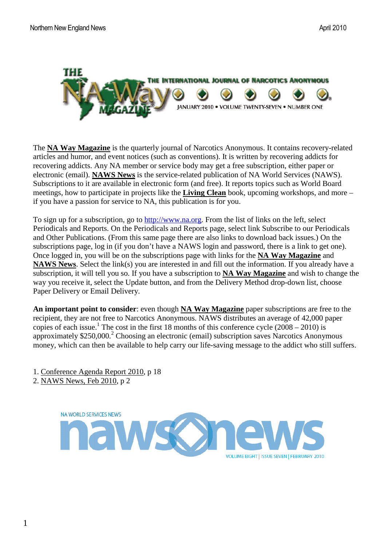

The **NA Way Magazine** is the quarterly journal of Narcotics Anonymous. It contains recovery-related articles and humor, and event notices (such as conventions). It is written by recovering addicts for recovering addicts. Any NA member or service body may get a free subscription, either paper or electronic (email). **NAWS News** is the service-related publication of NA World Services (NAWS). Subscriptions to it are available in electronic form (and free). It reports topics such as World Board meetings, how to participate in projects like the **Living Clean** book, upcoming workshops, and more – if you have a passion for service to NA, this publication is for you.

To sign up for a subscription, go to http://www.na.org. From the list of links on the left, select Periodicals and Reports. On the Periodicals and Reports page, select link Subscribe to our Periodicals and Other Publications. (From this same page there are also links to download back issues.) On the subscriptions page, log in (if you don't have a NAWS login and password, there is a link to get one). Once logged in, you will be on the subscriptions page with links for the **NA Way Magazine** and **NAWS News**. Select the link(s) you are interested in and fill out the information. If you already have a subscription, it will tell you so. If you have a subscription to **NA Way Magazine** and wish to change the way you receive it, select the Update button, and from the Delivery Method drop-down list, choose Paper Delivery or Email Delivery.

**An important point to consider**: even though **NA Way Magazine** paper subscriptions are free to the recipient, they are not free to Narcotics Anonymous. NAWS distributes an average of 42,000 paper copies of each issue.<sup>1</sup> The cost in the first 18 months of this conference cycle  $(2008 - 2010)$  is approximately  $$250,000.<sup>2</sup>$  Choosing an electronic (email) subscription saves Narcotics Anonymous money, which can then be available to help carry our life-saving message to the addict who still suffers.

1. Conference Agenda Report 2010, p 18

2. NAWS News, Feb 2010, p 2

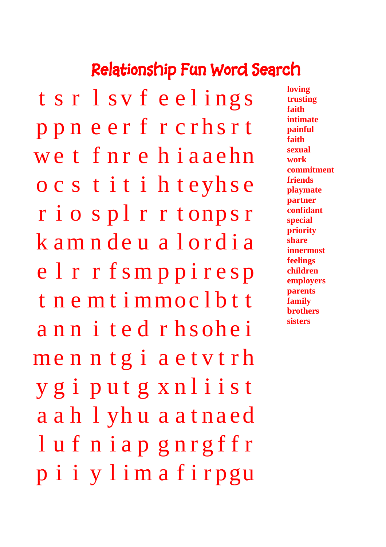# **Relationship Fun Word Search**

t s r l s v f e e l i ng s p p n e e r f r c r h s r t we t f nr e h i a a ehn o c s t i t i h t eyh s e r i o s pl r r t onps r k am n de u a lordia e l r r f sm p p i r e s p t n e m t i mmoc l b t t ann i ted rhsohei menntgiaet v t rh y g i p u t g x n l i i s t a a h l yh u a a t na ed l u f n i a p g n r g f f r p i i y l i m a f i r pgu

**loving trusting faith intimate painful faith sexual work commitment friends playmate partner confidant special priority share innermost feelings children employers parents family brothers sisters**